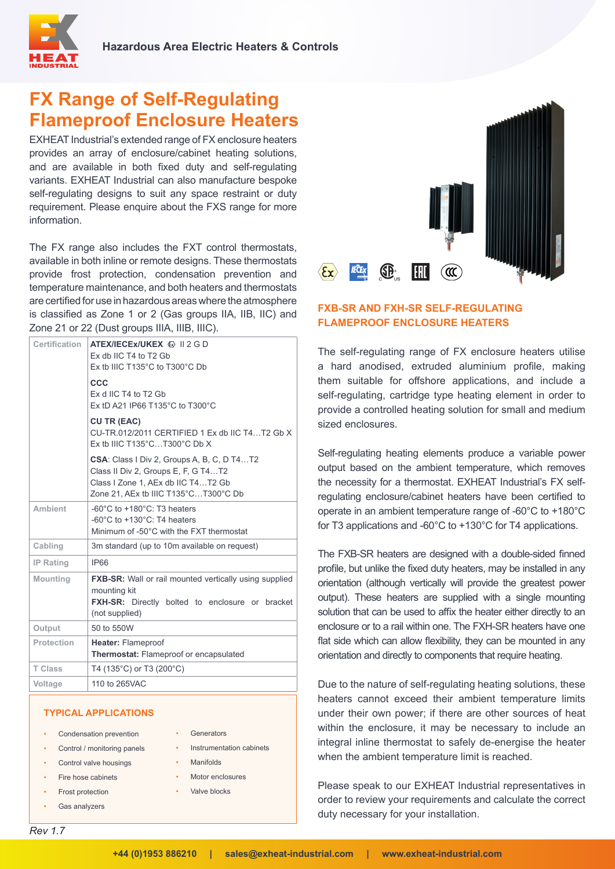

# **FX Range of Self-Regulating Flameproof Enclosure Heaters**

EXHEAT Industrial's extended range of FX enclosure heaters provides an array of enclosure/cabinet heating solutions, and are available in both fixed duty and self-regulating variants. EXHEAT Industrial can also manufacture bespoke self-regulating designs to suit any space restraint or duty requirement. Please enquire about the FXS range for more information.

The FX range also includes the FXT control thermostats, available in both inline or remote designs. These thermostats provide frost protection, condensation prevention and temperature maintenance, and both heaters and thermostats are certified for use in hazardous areas where the atmosphere is classified as Zone 1 or 2 (Gas groups IIA, IIB, IIC) and Zone 21 or 22 (Dust groups IIIA, IIIB, IIIC).

| Certification     | ATEX/IECEX/UKEX & II 2 G D<br>Ex db IIC T4 to T2 Gb<br>Ex tb IIIC T135°C to T300°C Db                                                                                  |
|-------------------|------------------------------------------------------------------------------------------------------------------------------------------------------------------------|
|                   | CCC<br>Ex d IIC T4 to T2 Gb<br>Ex tD A21 IP66 T135°C to T300°C                                                                                                         |
|                   | <b>CU TR (EAC)</b><br>CU-TR.012/2011 CERTIFIED 1 Ex db IIC T4T2 Gb X<br>Ex tb IIIC T135°CT300°C Db X                                                                   |
|                   | <b>CSA:</b> Class I Div 2, Groups A, B, C, D T4T2<br>Class II Div 2, Groups E, F, G T4T2<br>Class I Zone 1, AEx db IIC T4T2 Gb<br>Zone 21, AEx tb IIIC T135°CT300°C Db |
| <b>Ambient</b>    | -60 $^{\circ}$ C to +180 $^{\circ}$ C: T3 heaters<br>-60 $^{\circ}$ C to +130 $^{\circ}$ C: T4 heaters<br>Minimum of -50°C with the FXT thermostat                     |
| Cabling           | 3m standard (up to 10m available on request)                                                                                                                           |
| <b>IP Rating</b>  | IP66                                                                                                                                                                   |
| <b>Mounting</b>   | <b>FXB-SR:</b> Wall or rail mounted vertically using supplied<br>mounting kit<br><b>FXH-SR:</b> Directly bolted to enclosure or bracket<br>(not supplied)              |
| Output            | 50 to 550W                                                                                                                                                             |
| <b>Protection</b> | Heater: Flameproof<br>Thermostat: Flameproof or encapsulated                                                                                                           |
| <b>T Class</b>    | T4 (135°C) or T3 (200°C)                                                                                                                                               |
| Voltage           | 110 to 265VAC                                                                                                                                                          |

**Generators** 

• Manifolds • Motor enclosures Valve blocks

• Instrumentation cabinets

#### **TYPICAL APPLICATIONS**

- Condensation prevention
- Control / monitoring panels
- Control valve housings
- Fire hose cabinets
- **Frost protection**
- Gas analyzers

**SB** HIL **IECEX**  $\langle \mathbf{\mathfrak{c}}\mathbf{x}\rangle$  $\mathcal{L}$ 

## **FXB-SR AND FXH-SR SFL F-REGULATING FLAMEPROOF ENCLOSURE HEATERS**

The self-regulating range of FX enclosure heaters utilise a hard anodised, extruded aluminium profile, making them suitable for offshore applications, and include a self-regulating, cartridge type heating element in order to provide a controlled heating solution for small and medium sized enclosures.

Self-regulating heating elements produce a variable power output based on the ambient temperature, which removes the necessity for a thermostat. EXHEAT Industrial's FX selfregulating enclosure/cabinet heaters have been certified to operate in an ambient temperature range of -60°C to +180°C for T3 applications and -60°C to +130°C for T4 applications.

The FXB-SR heaters are designed with a double-sided finned profile, but unlike the fixed duty heaters, may be installed in any orientation (although vertically will provide the greatest power output). These heaters are supplied with a single mounting solution that can be used to affix the heater either directly to an enclosure or to a rail within one. The FXH-SR heaters have one flat side which can allow flexibility, they can be mounted in any orientation and directly to components that require heating.

Due to the nature of self-regulating heating solutions, these heaters cannot exceed their ambient temperature limits under their own power; if there are other sources of heat within the enclosure, it may be necessary to include an integral inline thermostat to safely de-energise the heater when the ambient temperature limit is reached.

Please speak to our EXHEAT Industrial representatives in order to review your requirements and calculate the correct duty necessary for your installation.

*Rev 1.7*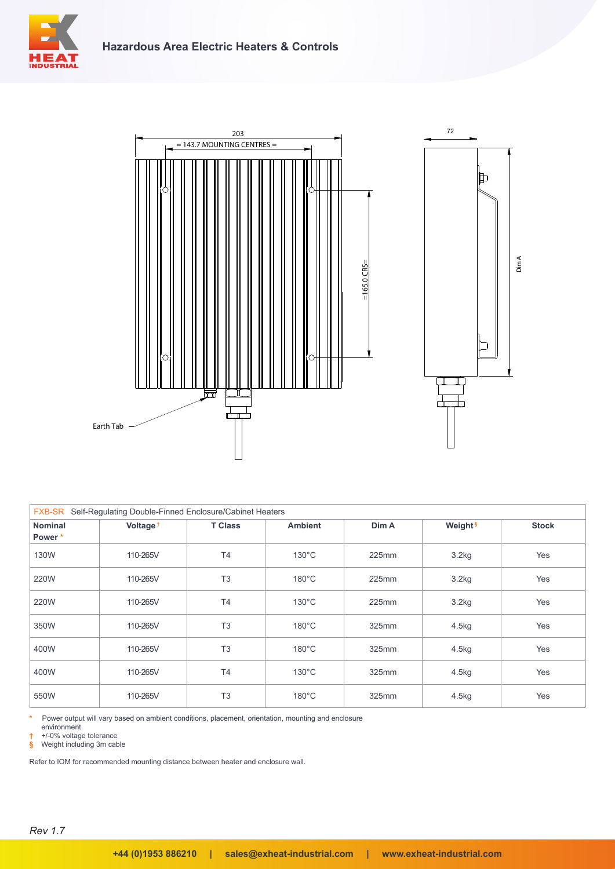





| <b>FXB-SR</b><br>Self-Regulating Double-Finned Enclosure/Cabinet Heaters |                      |                |                 |       |                     |              |  |
|--------------------------------------------------------------------------|----------------------|----------------|-----------------|-------|---------------------|--------------|--|
| <b>Nominal</b><br>Power*                                                 | Voltage <sup>+</sup> | <b>T Class</b> | <b>Ambient</b>  | Dim A | Weight <sup>§</sup> | <b>Stock</b> |  |
| 130W                                                                     | 110-265V             | T4             | $130^{\circ}$ C | 225mm | 3.2kg               | Yes          |  |
| 220W                                                                     | 110-265V             | T <sub>3</sub> | $180^{\circ}$ C | 225mm | 3.2kg               | Yes          |  |
| 220W                                                                     | 110-265V             | T <sub>4</sub> | $130^{\circ}$ C | 225mm | 3.2kg               | Yes          |  |
| 350W                                                                     | 110-265V             | T <sub>3</sub> | $180^{\circ}$ C | 325mm | 4.5kg               | Yes          |  |
| 400W                                                                     | 110-265V             | T <sub>3</sub> | $180^{\circ}$ C | 325mm | 4.5kg               | Yes          |  |
| 400W                                                                     | 110-265V             | T4             | $130^{\circ}$ C | 325mm | 4.5kg               | Yes          |  |
| 550W                                                                     | 110-265V             | T <sub>3</sub> | $180^{\circ}$ C | 325mm | 4.5kg               | Yes          |  |

**\*** Power output will vary based on ambient conditions, placement, orientation, mounting and enclosure

environment

**†** +/-0% voltage tolerance **§** Weight including 3m cable

Refer to IOM for recommended mounting distance between heater and enclosure wall.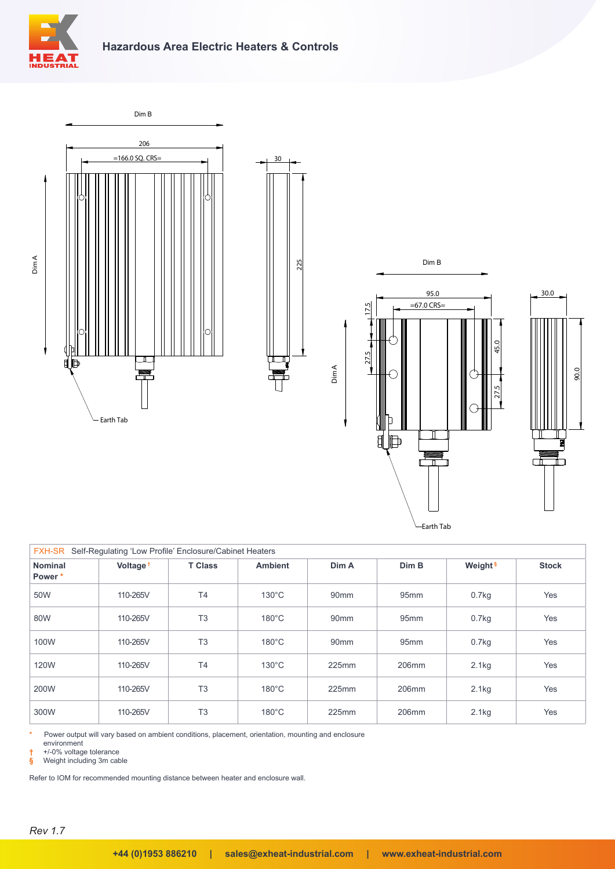







| Self-Regulating 'Low Profile' Enclosure/Cabinet Heaters<br><b>FXH-SR</b> |                      |                |                 |                  |                  |                     |              |
|--------------------------------------------------------------------------|----------------------|----------------|-----------------|------------------|------------------|---------------------|--------------|
| <b>Nominal</b><br>Power*                                                 | Voltage <sup>+</sup> | <b>T Class</b> | <b>Ambient</b>  | Dim A            | Dim B            | Weight <sup>§</sup> | <b>Stock</b> |
| 50W                                                                      | 110-265V             | T <sub>4</sub> | $130^{\circ}$ C | 90 <sub>mm</sub> | 95 <sub>mm</sub> | 0.7kg               | Yes          |
| 80W                                                                      | 110-265V             | T <sub>3</sub> | $180^{\circ}$ C | 90 <sub>mm</sub> | 95 <sub>mm</sub> | 0.7kg               | Yes          |
| 100W                                                                     | 110-265V             | T <sub>3</sub> | $180^{\circ}$ C | 90 <sub>mm</sub> | 95mm             | $0.7$ kg            | Yes          |
| 120W                                                                     | 110-265V             | <b>T4</b>      | $130^{\circ}$ C | 225mm            | 206mm            | 2.1kg               | Yes          |
| 200W                                                                     | 110-265V             | T <sub>3</sub> | $180^{\circ}$ C | 225mm            | 206mm            | 2.1kg               | Yes          |
| 300W                                                                     | 110-265V             | T <sub>3</sub> | $180^{\circ}$ C | 225mm            | 206mm            | 2.1kg               | Yes          |

Power output will vary based on ambient conditions, placement, orientation, mounting and enclosure

environment

**†** +/-0% voltage tolerance

**§** Weight including 3m cable

Refer to IOM for recommended mounting distance between heater and enclosure wall.